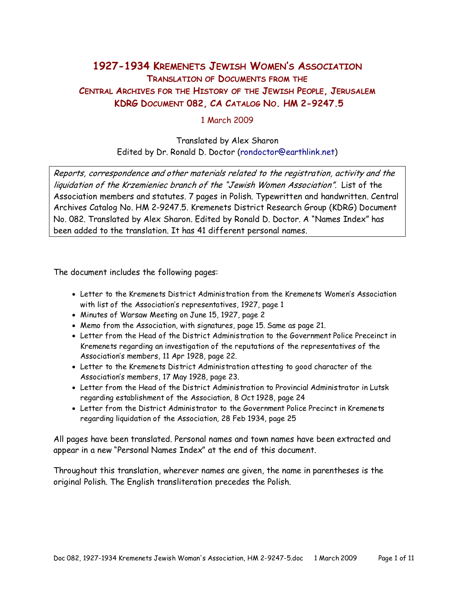# 1927-1934 KREMENETS JEWISH WOMEN'S ASSOCIATION TRANSLATION OF DOCUMENTS FROM THE CENTRAL ARCHIVES FOR THE HISTORY OF THE JEWISH PEOPLE, JERUSALEM KDRG DOCUMENT 082, CA CATALOG NO. HM 2-9247.5

### 1 March 2009

## Translated by Alex Sharon Edited by Dr. Ronald D. Doctor (rondoctor@earthlink.net)

Reports, correspondence and other materials related to the registration, activity and the liquidation of the Krzemieniec branch of the "Jewish Women Association". List of the Association members and statutes. 7 pages in Polish. Typewritten and handwritten. Central Archives Catalog No. HM 2-9247.5. Kremenets District Research Group (KDRG) Document No. 082. Translated by Alex Sharon. Edited by Ronald D. Doctor. A "Names Index" has been added to the translation. It has 41 different personal names.

The document includes the following pages:

- Letter to the Kremenets District Administration from the Kremenets Women's Association with list of the Association's representatives, 1927, page 1
- Minutes of Warsaw Meeting on June 15, 1927, page 2
- Memo from the Association, with signatures, page 15. Same as page 21.
- Letter from the Head of the District Administration to the Government Police Preceinct in Kremenets regarding an investigation of the reputations of the representatives of the Association's members, 11 Apr 1928, page 22.
- Letter to the Kremenets District Administration attesting to good character of the Association's members, 17 May 1928, page 23.
- Letter from the Head of the District Administration to Provincial Administrator in Lutsk regarding establishment of the Association, 8 Oct 1928, page 24
- Letter from the District Administrator to the Government Police Precinct in Kremenets regarding liquidation of the Association, 28 Feb 1934, page 25

All pages have been translated. Personal names and town names have been extracted and appear in a new "Personal Names Index" at the end of this document.

Throughout this translation, wherever names are given, the name in parentheses is the original Polish. The English transliteration precedes the Polish.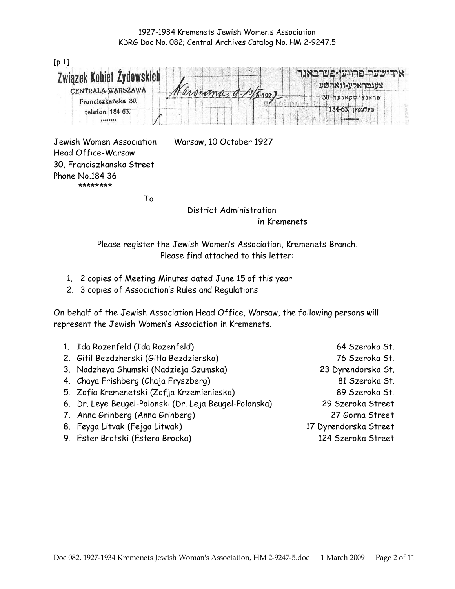| $[p_1]$                   |  |           |  |                  |
|---------------------------|--|-----------|--|------------------|
| Związek Kobiet Źydowskich |  |           |  | אידישער פרויש-פע |
| CENTRALA-WARSZAWA         |  |           |  | צענטראלע=ווארשע  |
| Franciszkańska 30.        |  | arouna, a |  | פראנצישקאנער 30  |
| telefon 184 63.           |  |           |  | שעלעפאן 184-63.  |
| 82333335                  |  |           |  | <b>BERESSES</b>  |

Jewish Women Association Warsaw, 10 October 1927 Head Office-Warsaw 30, Franciszkanska Street Phone No.184 36 \*\*\*\*\*\*\*\*

the contract of the To

 District Administration in Kremenets

Please register the Jewish Women's Association, Kremenets Branch. Please find attached to this letter:

- 1. 2 copies of Meeting Minutes dated June 15 of this year
- 2. 3 copies of Association's Rules and Regulations

On behalf of the Jewish Association Head Office, Warsaw, the following persons will represent the Jewish Women's Association in Kremenets.

| 1. Ida Rozenfeld (Ida Rozenfeld)                       | 64 Szeroka St.        |
|--------------------------------------------------------|-----------------------|
| 2. Gitil Bezdzherski (Gitla Bezdzierska)               | 76 Szeroka St.        |
| 3. Nadzheya Shumski (Nadzieja Szumska)                 | 23 Dyrendorska St.    |
| 4. Chaya Frishberg (Chaja Fryszberg)                   | 81 Szeroka St.        |
| 5. Zofia Kremenetski (Zofja Krzemienieska)             | 89 Szeroka St.        |
| 6. Dr. Leye Beugel-Polonski (Dr. Leja Beugel-Polonska) | 29 Szeroka Street     |
| 7. Anna Grinberg (Anna Grinberg)                       | 27 Gorna Street       |
| 8. Feyga Litvak (Fejga Litwak)                         | 17 Dyrendorska Street |
| 9. Ester Brotski (Estera Brocka)                       | 124 Szeroka Street    |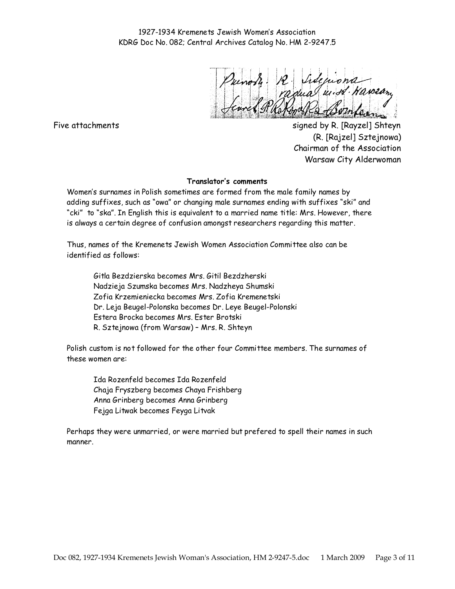Five attachments signed by R. [Rayzel] Shteyn (R. [Rajzel] Sztejnowa) Chairman of the Association Warsaw City Alderwoman

#### Translator's comments

Women's surnames in Polish sometimes are formed from the male family names by adding suffixes, such as "owa" or changing male surnames ending with suffixes "ski" and "cki" to "ska". In English this is equivalent to a married name title: Mrs. However, there is always a certain degree of confusion amongst researchers regarding this matter.

Thus, names of the Kremenets Jewish Women Association Committee also can be identified as follows:

Gitla Bezdzierska becomes Mrs. Gitil Bezdzherski Nadzieja Szumska becomes Mrs. Nadzheya Shumski Zofia Krzemieniecka becomes Mrs. Zofia Kremenetski Dr. Leja Beugel-Polonska becomes Dr. Leye Beugel-Polonski Estera Brocka becomes Mrs. Ester Brotski R. Sztejnowa (from Warsaw) – Mrs. R. Shteyn

Polish custom is not followed for the other four Committee members. The surnames of these women are:

Ida Rozenfeld becomes Ida Rozenfeld Chaja Fryszberg becomes Chaya Frishberg Anna Grinberg becomes Anna Grinberg Fejga Litwak becomes Feyga Litvak

Perhaps they were unmarried, or were married but prefered to spell their names in such manner.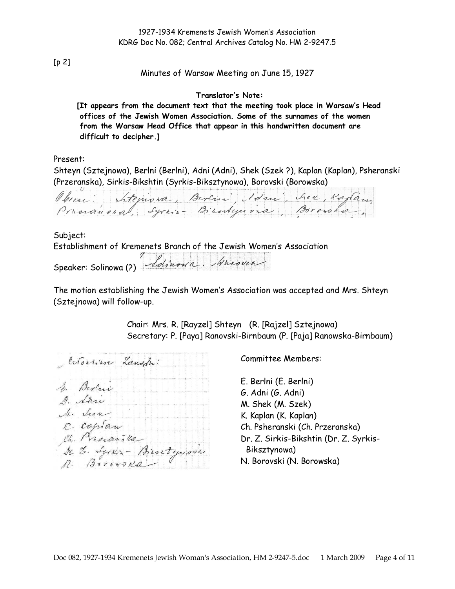[p 2]

#### Minutes of Warsaw Meeting on June 15, 1927

#### Translator's Note:

[It appears from the document text that the meeting took place in Warsaw's Head offices of the Jewish Women Association. Some of the surnames of the women from the Warsaw Head Office that appear in this handwritten document are difficult to decipher.]

Present:

Shteyn (Sztejnowa), Berlni (Berlni), Adni (Adni), Shek (Szek ?), Kaplan (Kaplan), Psheranski (Przeranska), Sirkis-Bikshtin (Syrkis-Biksztynowa), Borovski (Borowska)

Obseni: Sitejnowa, Burlini, Idni, Sier, Kagtan,

Subject: Establishment of Kremenets Branch of the Jewish Women's Association Speaker: Solinowa (?) Solinowa Muroven

The motion establishing the Jewish Women's Association was accepted and Mrs. Shteyn (Sztejnowa) will follow-up.

> Chair: Mrs. R. [Rayzel] Shteyn (R. [Rajzel] Sztejnowa) Secretary: P. [Paya] Ranovski-Birnbaum (P. [Paja] Ranowska-Birnbaum)

Citoriser Langon: So. Berlin D. Arri M. how in the R. coptan<br>Ch. Prosonska<br>Dr. Syris - Biortynous

Committee Members:

E. Berlni (E. Berlni) G. Adni (G. Adni) M. Shek (M. Szek) K. Kaplan (K. Kaplan) Ch. Psheranski (Ch. Przeranska) Dr. Z. Sirkis-Bikshtin (Dr. Z. Syrkis-Biksztynowa) N. Borovski (N. Borowska)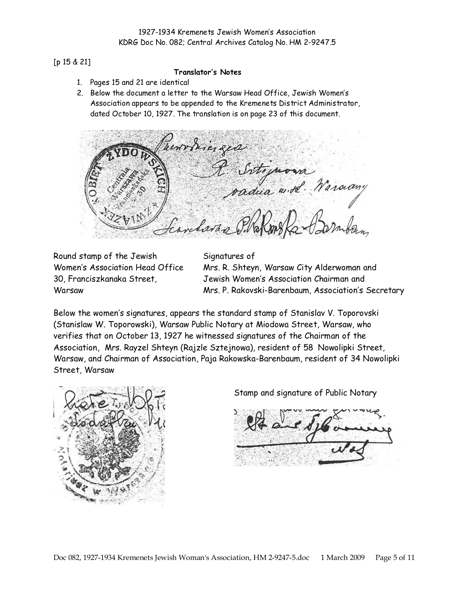#### [p 15 & 21]

#### Translator's Notes

- 1. Pages 15 and 21 are identical
- 2. Below the document a letter to the Warsaw Head Office, Jewish Women's Association appears to be appended to the Kremenets District Administrator, dated October 10, 1927. The translation is on page 23 of this document.

henronic zea rteguona<br>dua w.ol. Waraany

Round stamp of the Jewish Women's Association Head Office 30, Franciszkanaka Street, **Warsaw** 

Signatures of Mrs. R. Shteyn, Warsaw City Alderwoman and Jewish Women's Association Chairman and Mrs. P. Rakovski-Barenbaum, Association's Secretary

Below the women's signatures, appears the standard stamp of Stanislav V. Toporovski (Stanislaw W. Toporowski), Warsaw Public Notary at Miodowa Street, Warsaw, who verifies that on October 13, 1927 he witnessed signatures of the Chairman of the Association, Mrs. Rayzel Shteyn (Rajzle Sztejnowa), resident of 58 Nowolipki Street, Warsaw, and Chairman of Association, Paja Rakowska-Barenbaum, resident of 34 Nowolipki Street, Warsaw



Stamp and signature of Public Notary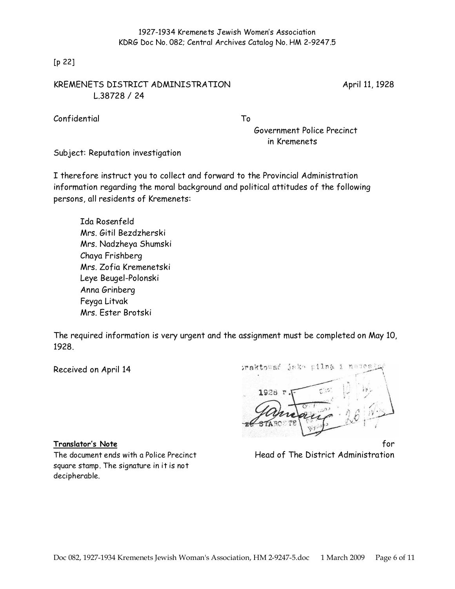[p 22]

## KREMENETS DISTRICT ADMINISTRATION April 11, 1928 L.38728 / 24

Confidential To

Government Police Precinct in Kremenets

Subject: Reputation investigation

I therefore instruct you to collect and forward to the Provincial Administration information regarding the moral background and political attitudes of the following persons, all residents of Kremenets:

Ida Rosenfeld Mrs. Gitil Bezdzherski Mrs. Nadzheya Shumski Chaya Frishberg Mrs. Zofia Kremenetski Leye Beugel-Polonski Anna Grinberg Feyga Litvak Mrs. Ester Brotski

The required information is very urgent and the assignment must be completed on May 10, 1928.

Received on April 14

square stamp. The signature in it is not decipherable.

Doc 082, 1927-1934 Kremenets Jewish Woman's Association, HM 2-9247-5.doc 1 March 2009 Page 6 of 11

iraktować jako pilną  $\frac{4}{3}$  $\overline{n}$ 1928

**Translator's Note** for the form of the form of the form of the form of the form of the form of the form of the form The document ends with a Police Precinct Head of The District Administration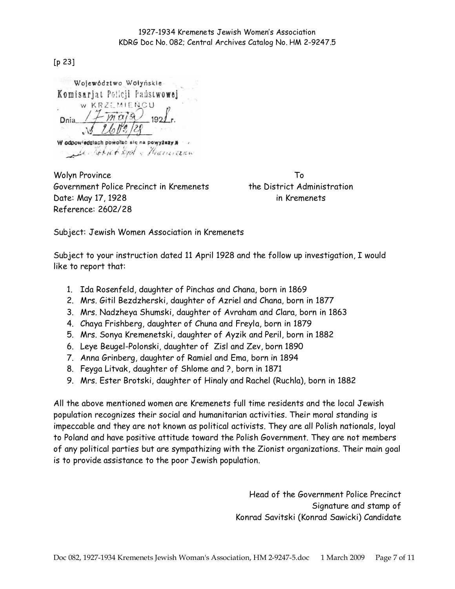[p 23]

Województwo Wolyńskie-Komisariat Policii Paústwowei W KRZEMIENCU  $-m\alpha/9$  $192.$ **Dnia** W odpowiedziach powołać się na powyższy a La Robiet Lyd , Hacercan

Wolyn Province To Government Police Precinct in Kremenets the District Administration Date: May 17, 1928 in Kremenets Reference: 2602/28

Subject: Jewish Women Association in Kremenets

Subject to your instruction dated 11 April 1928 and the follow up investigation, I would like to report that:

- 1. Ida Rosenfeld, daughter of Pinchas and Chana, born in 1869
- 2. Mrs. Gitil Bezdzherski, daughter of Azriel and Chana, born in 1877
- 3. Mrs. Nadzheya Shumski, daughter of Avraham and Clara, born in 1863
- 4. Chaya Frishberg, daughter of Chuna and Freyla, born in 1879
- 5. Mrs. Sonya Kremenetski, daughter of Ayzik and Peril, born in 1882
- 6. Leye Beugel-Polonski, daughter of Zisl and Zev, born 1890
- 7. Anna Grinberg, daughter of Ramiel and Ema, born in 1894
- 8. Feyga Litvak, daughter of Shlome and ?, born in 1871
- 9. Mrs. Ester Brotski, daughter of Hinaly and Rachel (Ruchla), born in 1882

All the above mentioned women are Kremenets full time residents and the local Jewish population recognizes their social and humanitarian activities. Their moral standing is impeccable and they are not known as political activists. They are all Polish nationals, loyal to Poland and have positive attitude toward the Polish Government. They are not members of any political parties but are sympathizing with the Zionist organizations. Their main goal is to provide assistance to the poor Jewish population.

> Head of the Government Police Precinct Signature and stamp of Konrad Savitski (Konrad Sawicki) Candidate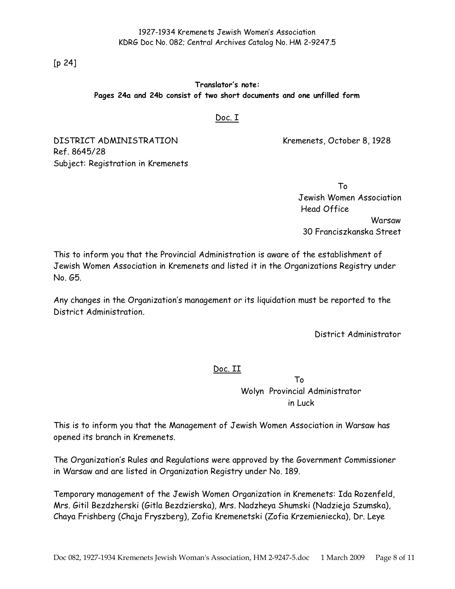[p 24]

### Translator's note: Pages 24a and 24b consist of two short documents and one unfilled form

### Doc. I

DISTRICT ADMINISTRATION Kremenets, October 8, 1928 Ref. 8645/28 Subject: Registration in Kremenets

> To Jewish Women Association Head Office Warsaw 30 Franciszkanska Street

This to inform you that the Provincial Administration is aware of the establishment of Jewish Women Association in Kremenets and listed it in the Organizations Registry under No. G5.

Any changes in the Organization's management or its liquidation must be reported to the District Administration.

District Administrator

Doc. II

To Wolyn Provincial Administrator in Luck

This is to inform you that the Management of Jewish Women Association in Warsaw has opened its branch in Kremenets.

The Organization's Rules and Regulations were approved by the Government Commissioner in Warsaw and are listed in Organization Registry under No. 189.

Temporary management of the Jewish Women Organization in Kremenets: Ida Rozenfeld, Mrs. Gitil Bezdzherski (Gitla Bezdzierska), Mrs. Nadzheya Shumski (Nadzieja Szumska), Chaya Frishberg (Chaja Fryszberg), Zofia Kremenetski (Zofia Krzemieniecka), Dr. Leye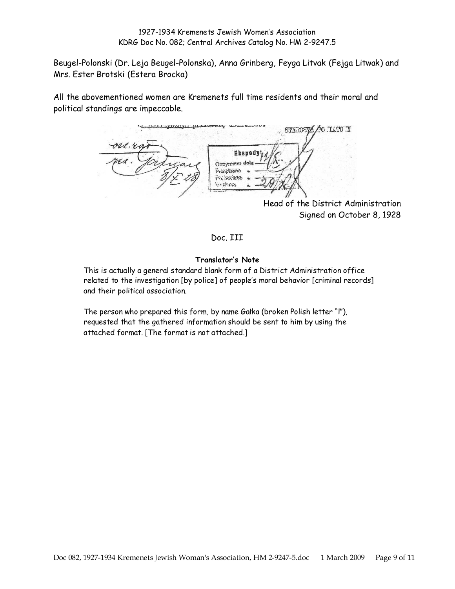Beugel-Polonski (Dr. Leja Beugel-Polonska), Anna Grinberg, Feyga Litvak (Fejga Litwak) and Mrs. Ester Brotski (Estera Brocka)

All the abovementioned women are Kremenets full time residents and their moral and political standings are impeccable.

STAROSTA 20 ILTO Y Eksped: Otrzymano dn Przepisano **P3:3W/MARD** Viraleans

Head of the District Administration Signed on October 8, 1928

## Doc. III

### Translator's Note

This is actually a general standard blank form of a District Administration office related to the investigation [by police] of people's moral behavior [criminal records] and their political association.

The person who prepared this form, by name Gałka (broken Polish letter "l"), requested that the gathered information should be sent to him by using the attached format. [The format is not attached.]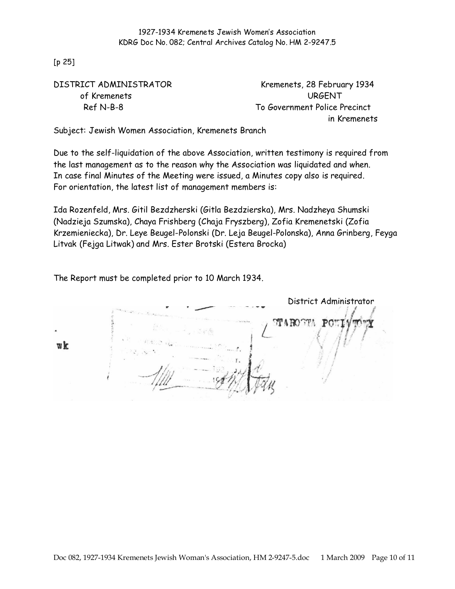[p 25]

| DISTRICT ADMINISTRATOR | Kremenets, 28 February 1934   |
|------------------------|-------------------------------|
| of Kremenets           | URGENT                        |
| Ref N-B-8              | To Government Police Precinct |
|                        | in Kremenets                  |

Subject: Jewish Women Association, Kremenets Branch

Due to the self-liquidation of the above Association, written testimony is required from the last management as to the reason why the Association was liquidated and when. In case final Minutes of the Meeting were issued, a Minutes copy also is required. For orientation, the latest list of management members is:

Ida Rozenfeld, Mrs. Gitil Bezdzherski (Gitla Bezdzierska), Mrs. Nadzheya Shumski (Nadzieja Szumska), Chaya Frishberg (Chaja Fryszberg), Zofia Kremenetski (Zofia Krzemieniecka), Dr. Leye Beugel-Polonski (Dr. Leja Beugel-Polonska), Anna Grinberg, Feyga Litvak (Fejga Litwak) and Mrs. Ester Brotski (Estera Brocka)

The Report must be completed prior to 10 March 1934.

District Administrator TAROST  $wk$